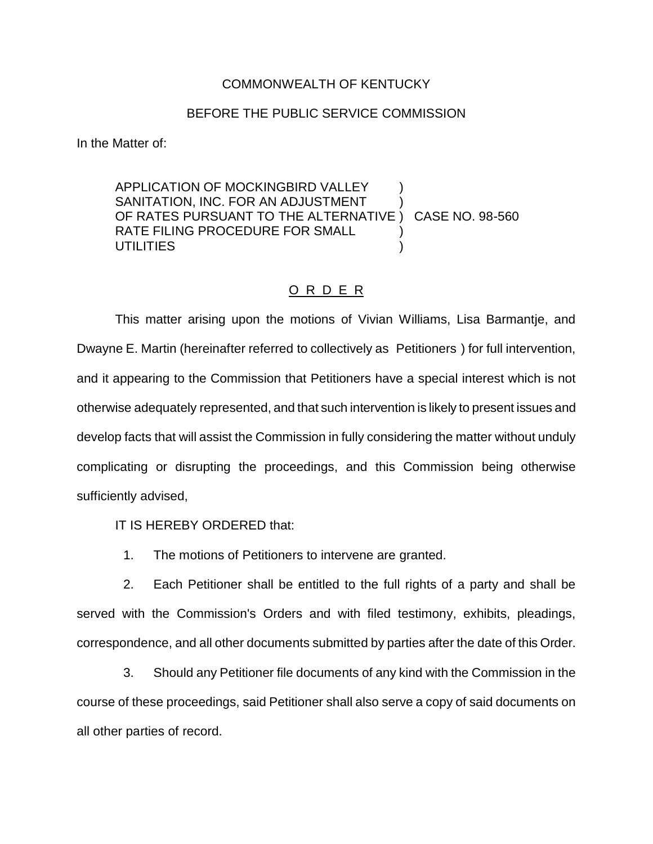## COMMONWEALTH OF KENTUCKY

## BEFORE THE PUBLIC SERVICE COMMISSION

In the Matter of:

APPLICATION OF MOCKINGBIRD VALLEY SANITATION, INC. FOR AN ADJUSTMENT OF RATES PURSUANT TO THE ALTERNATIVE ) CASE NO. 98-560 RATE FILING PROCEDURE FOR SMALL **UTILITIES** 

## O R D E R

This matter arising upon the motions of Vivian Williams, Lisa Barmantje, and Dwayne E. Martin (hereinafter referred to collectively as Petitioners ) for full intervention, and it appearing to the Commission that Petitioners have a special interest which is not otherwise adequately represented, and that such intervention is likely to present issues and develop facts that will assist the Commission in fully considering the matter without unduly complicating or disrupting the proceedings, and this Commission being otherwise sufficiently advised,

IT IS HEREBY ORDERED that:

1. The motions of Petitioners to intervene are granted.

2. Each Petitioner shall be entitled to the full rights of a party and shall be served with the Commission's Orders and with filed testimony, exhibits, pleadings, correspondence, and all other documents submitted by parties after the date of this Order.

3. Should any Petitioner file documents of any kind with the Commission in the course of these proceedings, said Petitioner shall also serve a copy of said documents on all other parties of record.